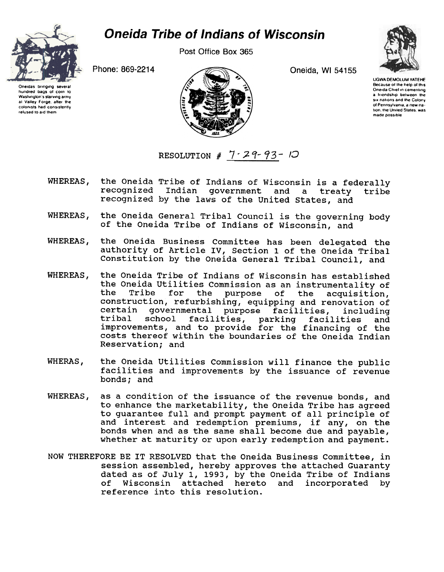

Post Office Box 365





Oneidas bringing several hundred bags of corn 10 Washington's starving army al Valley Forge, after the colonists had consistently relused 10 aid Ihem



UGWA OEMOLUM YATEHE Because of the help of this Oneida Chief in cementing a friendship between the six nations and the Colony of Pennsylvania, a new nation, the United States, was made possible

RESOLUTION #  $7.29.93 - 10$ 

- WHEREAS. the Oneida Tribe of Indians of Wisconsin is a federally recognized Indian government and a treaty tribe recognized by the laws of the United states, and
- WHEREAS, the Oneida General Tribal Council is the governing body of the Oneida Tribe of Indians of Wisconsin, and
- WHEREAS, the Oneida Business Committee has been delegated the authority of Article IV, Section 1 of the Oneida Tribal Constitution by the Oneida General Tribal council, and
- WHEREAS, the Oneida Tribe of Indians of Wisconsin has established the Oneida Utilities Commission as an instrumentality of<br>the Tribe for the purpose of the acquisition Tribe for the purpose of the acquisition, construction, refurbishing, equipping and renovation of certain governmental purpose facilities, including tribal school facilities, parking facilities and improvements, and to provide for the financing of the costs thereof within the boundaries of the Oneida Indian Reservation; and
- WHERAS, the Oneida utilities Commission will finance the public facilities and improvements by the issuance of revenue bonds; and
- WHEREAS, as a condition of the issuance of the revenue bonds, and to enhance the marketability, the Oneida Tribe has agreed to guarantee full and prompt payment of all principle of and interest and redemption premiums, if any, on th bonds when and as the same shall become due and payab. whether at maturity or upon early redemption and payment.
- NOW THEREFORE BE IT RESOLVED that the Oneida Business Committee, in session assembled, hereby approves the attached Guaranty dated as of July 1, 1993, by the Oneida Tribe of Indians of Wisconsin attached hereto and incorporated by reference into this resolution.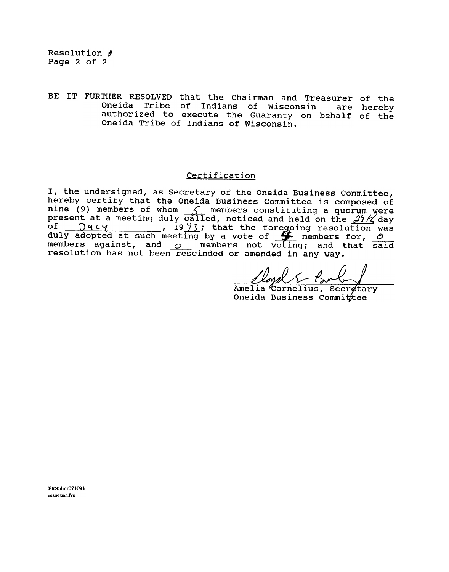BE IT FURTHER RESOLVED that the Chairman and Treasurer of the Oneida Tribe of Indians of Wisconsin authorized to execute the Guaranty on behalf of the Oneida Tribe of Indians of Wisconsin. are hereby

## Certification

I, the undersigned, as Secretary of the Oneida Business Committee, hereby certify that the Oneida Business Committee is composed of nine (9) members of whom  $\leq$  members constituting a quorum were present at a meeting duly called, noticed and held on the  $29K$ of J 't (..~, 19 /3 i that the foregoing resolution was duly adopted at such meeting by a vote of  $~\mathscr{F}\!\!\!\!/$  members for,  $\ell$ members against, and  $\circ$  members not voting; and that said resolution has not been rescinded or amended in any way.

Amelia Cornelius, Secretary Oneida Business Commit tee

FRS:dmr073093 rcsoeuar frs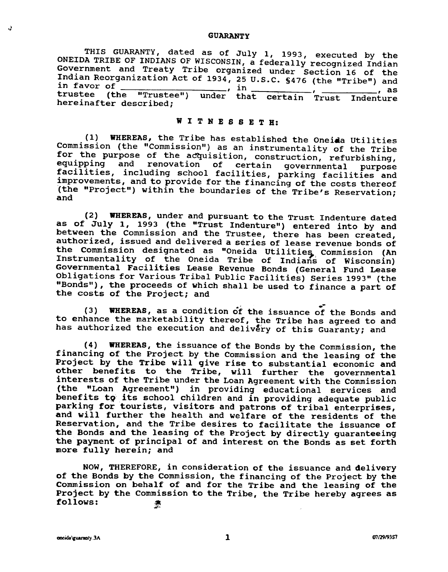## GUARANTY

THIS GUARANTY, dated as of July I, 1993, executed by the ONEIDA TRIBE OF INDIANS OF WISCONSIN, a federally recognized Indian Government and Treaty Tribe organized under Section 16 of the Indian Reorganization Act of 1934, 25 U.S.C. §476 (the "Tribe") and in favor of  $\frac{1}{2}$ , in,  $\frac{1}{2}$ ,  $\frac{1}{2}$ ,  $\frac{1}{2}$ ,  $\frac{1}{2}$ ,  $\frac{1}{2}$ ,  $\frac{1}{2}$ trustee (the "Trustee") under that certain Trust Indenture hereinafter described;

## WIT N E SSE T B:

(1) WHEREAS, the Tribe has established the Oneiaa utilities Commission (the "Commission") as an instrumentality of the Tribe for the purpose of the acquisition, construction, refurbishing, equipping and renovation of certain governmental purpose facilities, including school facilities, parking facilities and improvements, and to provide for the financing of the costs thereof (the "Project") within the boundaries of the Tribe's Reservation; and

(2) WHEREAS, under and pursuant to the Trust Indenture dated as of July 1, 1993 (the "Trust Indenture") entered into by and between the Commission and the Trustee, there has been created, authorized, issued and delivered a series of lease revenue bonds of the Commission designated as "Oneida Utilities, Commission (An Instrumentality of the Oneida Tribe of Indians of Wisconsin Governmental Facilities Lease Revenue Bonds (General Fund Leas Obligations for Various Tribal Public Facilities) Series 1993" (the "Bonds") , the proceeds of which shall be used to finance a part of the costs of the Project; and

, .- (3) WHEREAS, as a condition of the issuance of the Bonds and to enhance the marketability thereof, the Tribe has agreed to and has authorized the execution and delivery of this Guaranty; and

(4) WHEREAS, the issuance of the Bonds by the Commission, the financing of the Project by the Commission and the leasing of the Project by the Tribe will give rise to substantial economic and other benefits to the Tribe, will further the governmental interests of the Tribe under the Loan Agreement with the Commission (the "Loan Agreement") in providing educational services and benefits to its school children and in providing adequate public parking for tourists, visitors and patrons of tribal enterprises, and will further the health and welfare of the residents of the Reservation, and the Tribe desires to facilitate the issuance of the Bonds and the leasing of the Project by directly guaranteeing the payment of principal of and interest on the Bonds as set forth more fully herein; and

NOW, THEREFORE, in consideration of the issuance and delivery of the Bonds by the Commission, the financing of the Project by the Commission on behalf of and for the Tribe and the leasing of the Project by the Commission to the Tribe, the Tribe hereby agrees as follows: 秦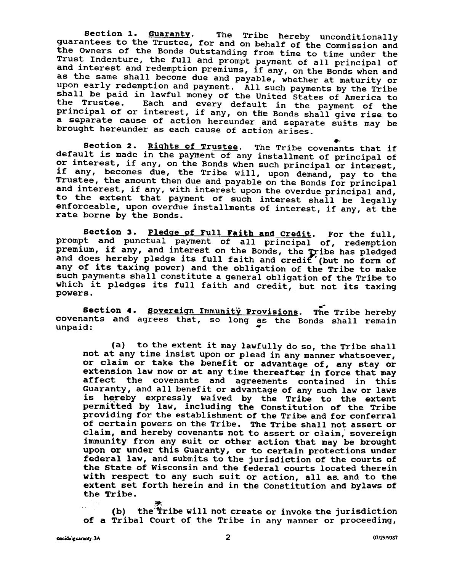Section 1. Guaranty. The Tribe hereby unconditionally guarantees to the Trustee, for and on behalf of the Commission and the Owners of the Bonds Outstanding from time to time under the Trust Indenture, the full and prompt payment of all principal of and interest and redemption premiums, if any, on the Bonds when and as the same shall become due and payable, whether at maturity or upon early redemption and payment. All such payments by the Tribe shall be paid in lawful money of the United states of America to the Trustee. Each and every default in the payment of the principal of or interest, if any, on the Bonds shall give rise to a separate cause of action hereunder and separate suits may be brought hereunder as each cause of action arises.

Section 2. Rights of Trustee. The Tribe covenants that if default is made in the payment of any installment of principal of or interest, if any, on the Bonds when such principal or interest, if any, becomes due, the Tribe will, upon demand, pay to the Trustee, the amount then due and payable on the Bonds for principal and interest, if any, with interest upon the overdue principal and, to the extent that payment of such interest shall be legally enforceable, upon overdue installments of interest, if any, at the rate borne by the Bonds.

Section 3. Pledge of Full Faith and Credit. For the full, prompt and punctual payment of all principal of, redemption premium, if any, and interest on the Bonds, the Tribe has pledge and does hereby pledge its full faith and credit (but no form of any of its taxing power) and the obligation of the Tribe to make such payments shall constitute a general obligation of the Tribe to which it pledges its full faith and credit, but not its taxing powers.

s.<br>Section 4. <u>Sovereign Immunitÿ Pr</u>ovisions. The Tribe here covenants and agrees that, so long as the Bonds shall rema

(a) to the extent it may lawfully do so, the Tribe shall not at any time insist upon or plead in any manner whatsoever, or claim or take the benefit or advantage of, any stay or extension law now or at any time thereafter in force that may affect the covenants and agreements contained in this Guaranty, and all benefit or advantage of any such law or laws is hereby expressly waived by the Tribe to the exten<br>permitted by law, including the Constitution of the Trib providing for the establishment of the Tribe and for conferral of certain powers on the Tribe. The Tribe shall not assert or claim, and hereby covenants not to assert or claim, sovereign immunity from any suit or other action that may be brought upon or under this Guaranty, or to certain protections under federal law, and submits to the jurisdiction of the courts of the state of Wisconsin and the federal courts located therein with respect to any such suit or action, all as, and to the extent set forth herein and in the Constitution and bylaws of the Tribe.

~ (b) the  $\overline{\text{}}$ ribe will not create or invoke the jurisdic of a Tribal Court of the Tribe in any manner or proceeding,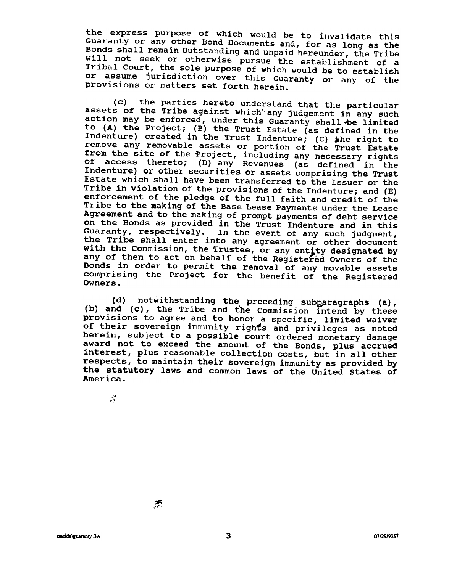the express purpose of which would be to invalidate this Guaranty or any other Bond Documents and, for as long as the Bonds shall remain outstanding and unpaid hereunder, the Tribe will not seek or otherwise pursue the establishment of a Tribal Court, the sole purpose of which would be to establish or assume jurisdiction over this Guaranty or any of the provisions or matters set forth herein.

(c) the parties hereto understand that the particular assets of the Tribe against which any judgement in any such action may be enforced, under this Guaranty shall be limited to (A) the Project; (B) the Trust Estate (as defined in the Indenture) created in the Trust Indenture; (C) »he right to remove any removable assets or portion of the Trust Estate from the site of the Project, including any necessary rights of access thereto; (D) any Revenues (as defined in the Indenture) or other securities or assets comprising the Trust Estate which shall have been transferred to the Issuer or the Tribe in violation of the provisions of the Indenture; and (E) enforcement of the pledge of the full faith and credit of the Tribe to the making of the Base Lease Payments under the Lease Agreement and to the making of prompt payments of debt service on the Bonds as provided in the Trust Indenture and in this Guaranty, respectively. In the event of any such judgment, the Tribe shall enter into any agreement or other document with the Commission, the Trustee, or any entity designated by any of them to act on behalf of the Registered Owners of the Bonds in order to permit the removal of any movable assets comprising the Project for the benefit of the Registered Owners.

(d) notwithstanding the preceding subparagraphs (a), (b) and  $(c)$ , the Tribe and the Commission intend by these provisions to agree and to honor a specific, limited waiver of their sovereign immunity rights and privileges as noted herein, subject to a possible court ordered monetary damage award not to exceed the amount of the Bonds, plus accrue interest, plus reasonable collection costs, but in all othe respects, to maintain their sovereign immunity as provided by the statutory laws and common laws of the United States of America.

 $\mathcal{L}$ 

 $:$